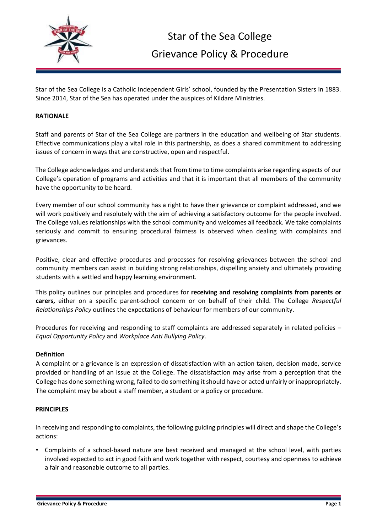

Star of the Sea College is a Catholic Independent Girls' school, founded by the Presentation Sisters in 1883. Since 2014, Star of the Sea has operated under the auspices of Kildare Ministries.

### **RATIONALE**

Staff and parents of Star of the Sea College are partners in the education and wellbeing of Star students. Effective communications play a vital role in this partnership, as does a shared commitment to addressing issues of concern in ways that are constructive, open and respectful.

The College acknowledges and understands that from time to time complaints arise regarding aspects of our College's operation of programs and activities and that it is important that all members of the community have the opportunity to be heard.

Every member of our school community has a right to have their grievance or complaint addressed, and we will work positively and resolutely with the aim of achieving a satisfactory outcome for the people involved. The College values relationships with the school community and welcomes all feedback. We take complaints seriously and commit to ensuring procedural fairness is observed when dealing with complaints and grievances.

Positive, clear and effective procedures and processes for resolving grievances between the school and community members can assist in building strong relationships, dispelling anxiety and ultimately providing students with a settled and happy learning environment.

This policy outlines our principles and procedures for **receiving and resolving complaints from parents or carers,** either on a specific parent-school concern or on behalf of their child. The College *Respectful Relationships Policy* outlines the expectations of behaviour for members of our community.

Procedures for receiving and responding to staff complaints are addressed separately in related policies – *Equal Opportunity Policy* and *Workplace Anti Bullying Policy*.

### **Definition**

A complaint or a grievance is an expression of dissatisfaction with an action taken, decision made, service provided or handling of an issue at the College. The dissatisfaction may arise from a perception that the College has done something wrong, failed to do something it should have or acted unfairly or inappropriately. The complaint may be about a staff member, a student or a policy or procedure.

### **PRINCIPLES**

In receiving and responding to complaints, the following guiding principles will direct and shape the College's actions:

• Complaints of a school-based nature are best received and managed at the school level, with parties involved expected to act in good faith and work together with respect, courtesy and openness to achieve a fair and reasonable outcome to all parties.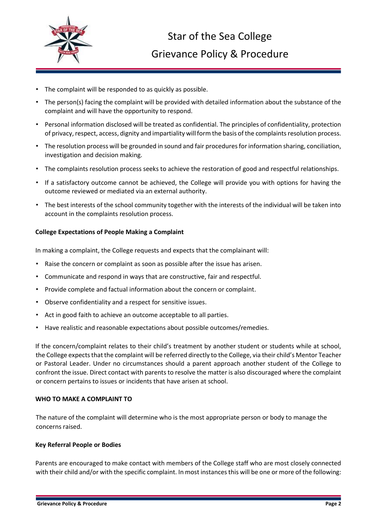

- The complaint will be responded to as quickly as possible.
- The person(s) facing the complaint will be provided with detailed information about the substance of the complaint and will have the opportunity to respond.
- Personal information disclosed will be treated as confidential. The principles of confidentiality, protection of privacy, respect, access, dignity and impartiality will form the basis of the complaints resolution process.
- The resolution process will be grounded in sound and fair procedures for information sharing, conciliation, investigation and decision making.
- The complaints resolution process seeks to achieve the restoration of good and respectful relationships.
- If a satisfactory outcome cannot be achieved, the College will provide you with options for having the outcome reviewed or mediated via an external authority.
- The best interests of the school community together with the interests of the individual will be taken into account in the complaints resolution process.

## **College Expectations of People Making a Complaint**

In making a complaint, the College requests and expects that the complainant will:

- Raise the concern or complaint as soon as possible after the issue has arisen.
- Communicate and respond in ways that are constructive, fair and respectful.
- Provide complete and factual information about the concern or complaint.
- Observe confidentiality and a respect for sensitive issues.
- Act in good faith to achieve an outcome acceptable to all parties.
- Have realistic and reasonable expectations about possible outcomes/remedies.

If the concern/complaint relates to their child's treatment by another student or students while at school, the College expects that the complaint will be referred directly to the College, via their child's Mentor Teacher or Pastoral Leader. Under no circumstances should a parent approach another student of the College to confront the issue. Direct contact with parents to resolve the matter is also discouraged where the complaint or concern pertains to issues or incidents that have arisen at school.

### **WHO TO MAKE A COMPLAINT TO**

The nature of the complaint will determine who is the most appropriate person or body to manage the concerns raised.

### **Key Referral People or Bodies**

Parents are encouraged to make contact with members of the College staff who are most closely connected with their child and/or with the specific complaint. In most instances this will be one or more of the following: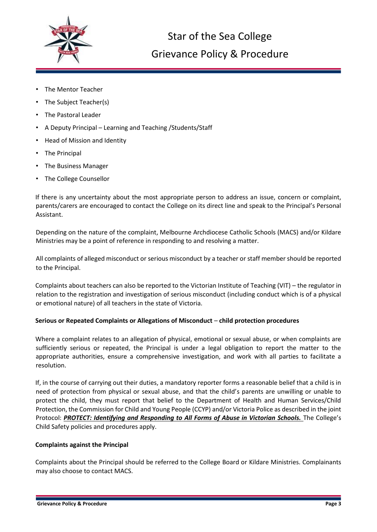

- The Mentor Teacher
- The Subject Teacher(s)
- The Pastoral Leader
- A Deputy Principal Learning and Teaching /Students/Staff
- Head of Mission and Identity
- The Principal
- The Business Manager
- The College Counsellor

If there is any uncertainty about the most appropriate person to address an issue, concern or complaint, parents/carers are encouraged to contact the College on its direct line and speak to the Principal's Personal Assistant.

Depending on the nature of the complaint, Melbourne Archdiocese Catholic Schools (MACS) and/or Kildare Ministries may be a point of reference in responding to and resolving a matter.

All complaints of alleged misconduct or serious misconduct by a teacher or staff member should be reported to the Principal.

Complaints about teachers can also be reported to the Victorian Institute of Teaching (VIT) – the regulator in relation to the registration and investigation of serious misconduct (including conduct which is of a physical or emotional nature) of all teachers in the state of Victoria.

# **Serious or Repeated Complaints or Allegations of Misconduct** – **child protection procedures**

Where a complaint relates to an allegation of physical, emotional or sexual abuse, or when complaints are sufficiently serious or repeated, the Principal is under a legal obligation to report the matter to the appropriate authorities, ensure a comprehensive investigation, and work with all parties to facilitate a resolution.

If, in the course of carrying out their duties, a mandatory reporter forms a reasonable belief that a child is in need of protection from physical or sexual abuse, and that the child's parents are unwilling or unable to protect the child, they must report that belief to the Department of Health and Human Services/Child Protection, the Commission for Child and Young People (CCYP) and/or Victoria Police as described in the joint Protocol: *PROTECT: Identifying and Responding to All Forms of Abuse in Victorian Schools.* The College's Child Safety policies and procedures apply.

# **Complaints against the Principal**

Complaints about the Principal should be referred to the College Board or Kildare Ministries. Complainants may also choose to contact MACS.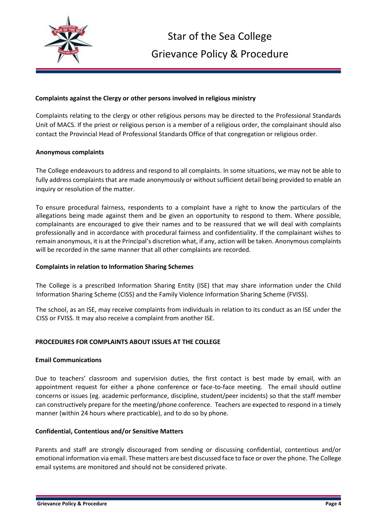

## **Complaints against the Clergy or other persons involved in religious ministry**

Complaints relating to the clergy or other religious persons may be directed to the Professional Standards Unit of MACS. If the priest or religious person is a member of a religious order, the complainant should also contact the Provincial Head of Professional Standards Office of that congregation or religious order.

## **Anonymous complaints**

The College endeavours to address and respond to all complaints. In some situations, we may not be able to fully address complaints that are made anonymously or without sufficient detail being provided to enable an inquiry or resolution of the matter.

To ensure procedural fairness, respondents to a complaint have a right to know the particulars of the allegations being made against them and be given an opportunity to respond to them. Where possible, complainants are encouraged to give their names and to be reassured that we will deal with complaints professionally and in accordance with procedural fairness and confidentiality. If the complainant wishes to remain anonymous, it is at the Principal's discretion what, if any, action will be taken. Anonymous complaints will be recorded in the same manner that all other complaints are recorded.

### **Complaints in relation to Information Sharing Schemes**

The College is a prescribed Information Sharing Entity (ISE) that may share information under the Child Information Sharing Scheme (CISS) and the Family Violence Information Sharing Scheme (FVISS).

The school, as an ISE, may receive complaints from individuals in relation to its conduct as an ISE under the CISS or FVISS. It may also receive a complaint from another ISE.

### **PROCEDURES FOR COMPLAINTS ABOUT ISSUES AT THE COLLEGE**

### **Email Communications**

Due to teachers' classroom and supervision duties, the first contact is best made by email, with an appointment request for either a phone conference or face-to-face meeting. The email should outline concerns or issues (eg. academic performance, discipline, student/peer incidents) so that the staff member can constructively prepare for the meeting/phone conference. Teachers are expected to respond in a timely manner (within 24 hours where practicable), and to do so by phone.

### **Confidential, Contentious and/or Sensitive Matters**

Parents and staff are strongly discouraged from sending or discussing confidential, contentious and/or emotional information via email. These matters are best discussed face to face or over the phone. The College email systems are monitored and should not be considered private.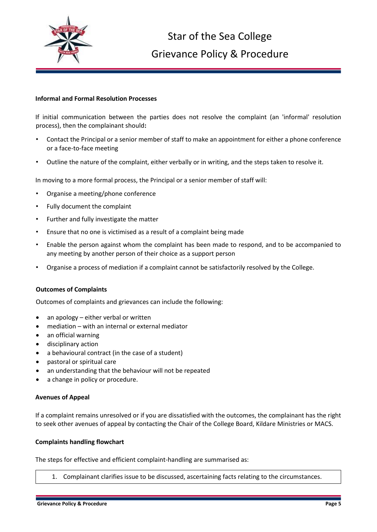

#### **Informal and Formal Resolution Processes**

If initial communication between the parties does not resolve the complaint (an 'informal' resolution process), then the complainant should**:**

- Contact the Principal or a senior member of staff to make an appointment for either a phone conference or a face-to-face meeting
- Outline the nature of the complaint, either verbally or in writing, and the steps taken to resolve it.

In moving to a more formal process, the Principal or a senior member of staff will:

- Organise a meeting/phone conference
- Fully document the complaint
- Further and fully investigate the matter
- Ensure that no one is victimised as a result of a complaint being made
- Enable the person against whom the complaint has been made to respond, and to be accompanied to any meeting by another person of their choice as a support person
- Organise a process of mediation if a complaint cannot be satisfactorily resolved by the College.

### **Outcomes of Complaints**

Outcomes of complaints and grievances can include the following:

- an apology either verbal or written
- mediation with an internal or external mediator
- an official warning
- disciplinary action
- a behavioural contract (in the case of a student)
- pastoral or spiritual care
- an understanding that the behaviour will not be repeated
- a change in policy or procedure.

### **Avenues of Appeal**

If a complaint remains unresolved or if you are dissatisfied with the outcomes, the complainant has the right to seek other avenues of appeal by contacting the Chair of the College Board, Kildare Ministries or MACS.

### **Complaints handling flowchart**

The steps for effective and efficient complaint-handling are summarised as:

1. Complainant clarifies issue to be discussed, ascertaining facts relating to the circumstances.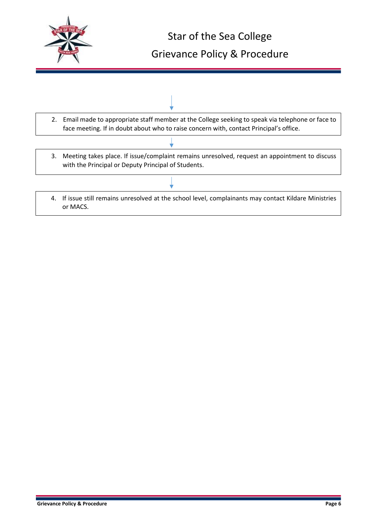

- 2. Email made to appropriate staff member at the College seeking to speak via telephone or face to face meeting. If in doubt about who to raise concern with, contact Principal's office.
- 3. Meeting takes place. If issue/complaint remains unresolved, request an appointment to discuss with the Principal or Deputy Principal of Students.
- 4. If issue still remains unresolved at the school level, complainants may contact Kildare Ministries or MACS.